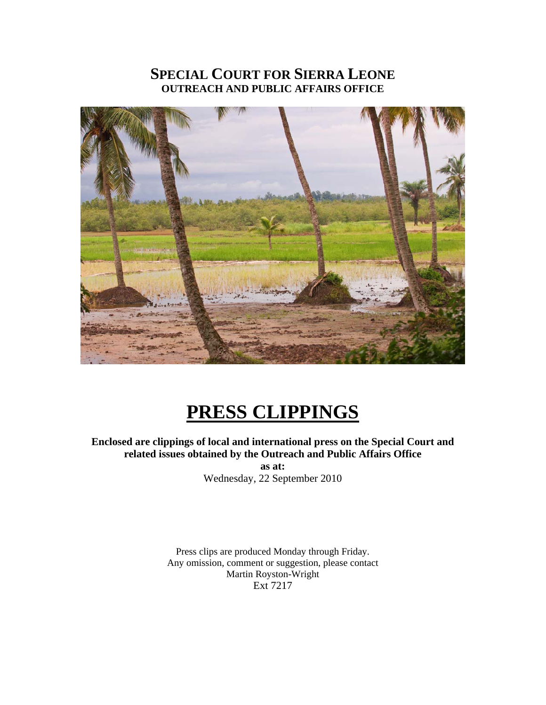## **SPECIAL COURT FOR SIERRA LEONE OUTREACH AND PUBLIC AFFAIRS OFFICE**



# **PRESS CLIPPINGS**

## **Enclosed are clippings of local and international press on the Special Court and related issues obtained by the Outreach and Public Affairs Office**

**as at:**  Wednesday, 22 September 2010

Press clips are produced Monday through Friday. Any omission, comment or suggestion, please contact Martin Royston-Wright Ext 7217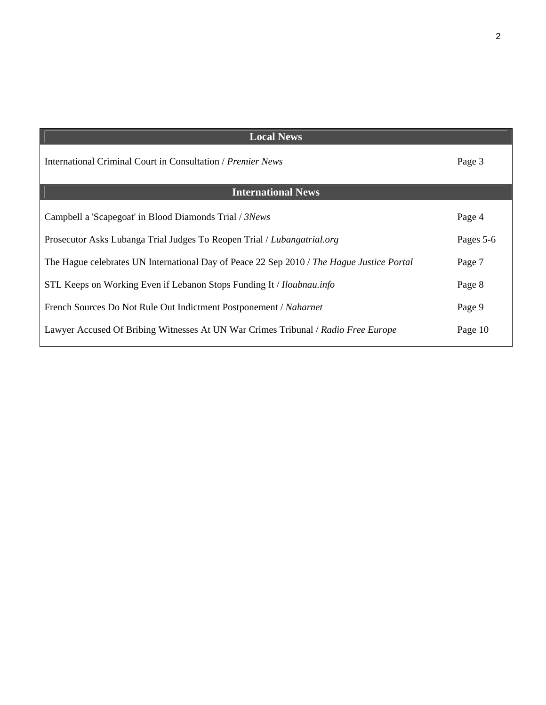| <b>Local News</b>                                                                         |           |
|-------------------------------------------------------------------------------------------|-----------|
| International Criminal Court in Consultation <i>Premier News</i>                          | Page 3    |
| <b>International News</b>                                                                 |           |
|                                                                                           |           |
| Campbell a 'Scapegoat' in Blood Diamonds Trial / 3News                                    | Page 4    |
| Prosecutor Asks Lubanga Trial Judges To Reopen Trial / Lubangatrial.org                   | Pages 5-6 |
| The Hague celebrates UN International Day of Peace 22 Sep 2010 / The Hague Justice Portal | Page 7    |
| STL Keeps on Working Even if Lebanon Stops Funding It / <i>Iloubnau.info</i>              | Page 8    |
| French Sources Do Not Rule Out Indictment Postponement / Naharnet                         | Page 9    |
| Lawyer Accused Of Bribing Witnesses At UN War Crimes Tribunal / Radio Free Europe         | Page 10   |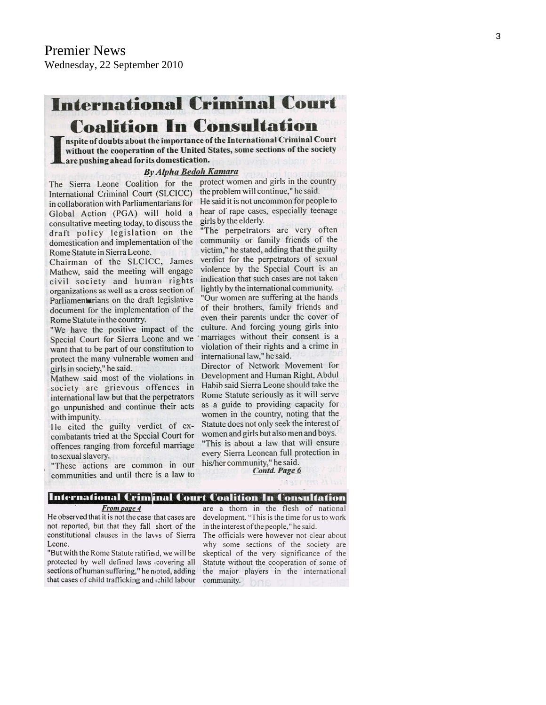## **International Criminal Court Coalition In Consultation**

nspite of doubts about the importance of the International Criminal Court without the cooperation of the United States, some sections of the society are pushing ahead for its domestication.

#### **By Alpha Bedoli Kamara**

International Criminal Court (SLCICC) in collaboration with Parliamentarians for He said it is not uncommon for people to Global Action (PGA) will hold a hear of rape cases, especially teenage consultative meeting today, to discuss the draft policy legislation on the domestication and implementation of the community or family friends of the Rome Statute in Sierra Leone.

Chairman of the SLCICC, James Mathew, said the meeting will engage civil society and human rights organizations as well as a cross section of Parliamenterians on the draft legislative document for the implementation of the Rome Statute in the country.

"We have the positive impact of the Special Court for Sierra Leone and we want that to be part of our constitution to protect the many vulnerable women and girls in society," he said.

Mathew said most of the violations in society are grievous offences in international law but that the perpetrators go unpunished and continue their acts with impunity.

He cited the guilty verdict of excombatants tried at the Special Court for offences ranging from forceful marriage to sexual slavery.

"These actions are common in our communities and until there is a law to

The Sierra Leone Coalition for the protect women and girls in the country the problem will continue," he said. girls by the elderly.

"The perpetrators are very often victim," he stated, adding that the guilty verdict for the perpetrators of sexual violence by the Special Court is an indication that such cases are not taken lightly by the international community.

"Our women are suffering at the hands of their brothers, family friends and even their parents under the cover of culture. And forcing young girls into marriages without their consent is a violation of their rights and a crime in international law," he said.

Director of Network Movement for Development and Human Right, Abdul Habib said Sierra Leone should take the Rome Statute seriously as it will serve as a guide to providing capacity for women in the country, noting that the Statute does not only seek the interest of women and girls but also men and boys. "This is about a law that will ensure every Sierra Leonean full protection in his/her community," he said.

Contd. Page 6

#### International Criminal Court Coalition In Consultation

#### From page 4

He observed that it is not the case that cases are not reported, but that they fall short of the constitutional clauses in the lavys of Sierra Leone.

"But with the Rome Statute ratified, we will be protected by well defined laws covering all sections of human suffering," he noted, adding that cases of child trafficking and child labour

are a thorn in the flesh of national development. "This is the time for us to work in the interest of the people," he said.

The officials were however not clear about why some sections of the society are skeptical of the very significance of the Statute without the cooperation of some of the major players in the international community.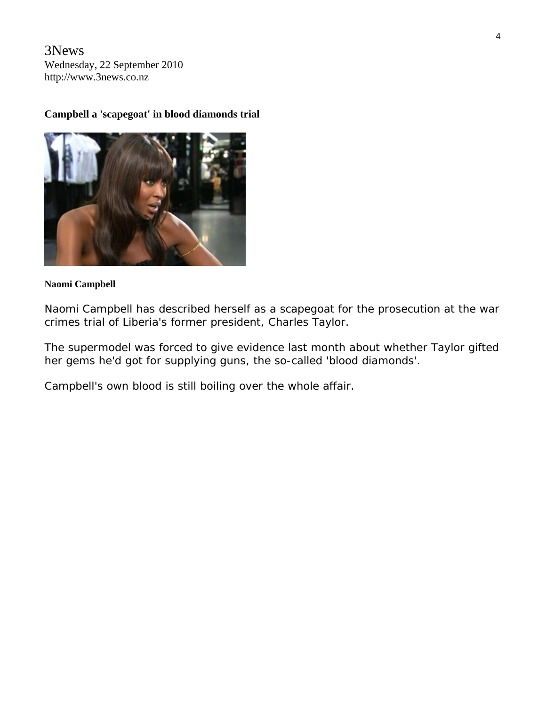3News Wednesday, 22 September 2010 http://www.3news.co.nz

## **Campbell a 'scapegoat' in blood diamonds trial**



#### **Naomi Campbell**

Naomi Campbell has described herself as a scapegoat for the prosecution at the war crimes trial of Liberia's former president, Charles Taylor.

The supermodel was forced to give evidence last month about whether Taylor gifted her gems he'd got for supplying guns, the so-called 'blood diamonds'.

Campbell's own blood is still boiling over the whole affair.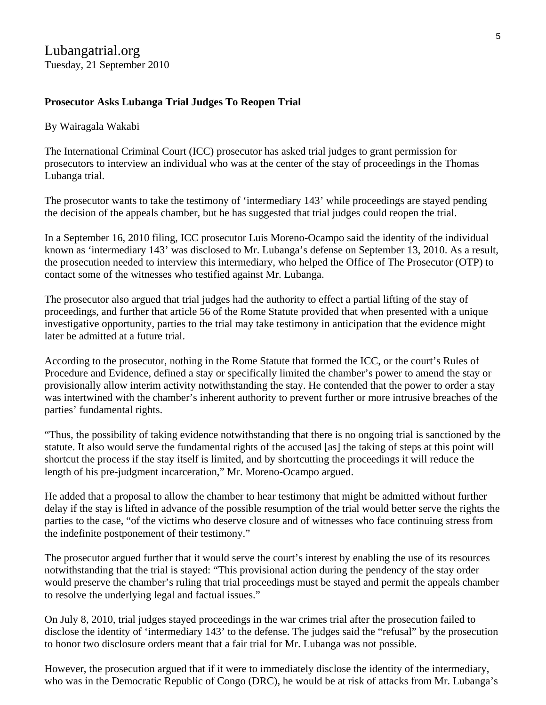## **Prosecutor Asks Lubanga Trial Judges To Reopen Trial**

### By [Wairagala Wakabi](http://www.lubangatrial.org/contributors#11)

The International Criminal Court (ICC) prosecutor has asked trial judges to grant permission for prosecutors to interview an individual who was at the center of the stay of proceedings in the Thomas Lubanga trial.

The prosecutor wants to take the testimony of 'intermediary 143' while proceedings are stayed pending the decision of the appeals chamber, but he has suggested that trial judges could reopen the trial.

In a September 16, 2010 filing, ICC prosecutor Luis Moreno-Ocampo said the identity of the individual known as 'intermediary 143' was disclosed to Mr. Lubanga's defense on September 13, 2010. As a result, the prosecution needed to interview this intermediary, who helped the Office of The Prosecutor (OTP) to contact some of the witnesses who testified against Mr. Lubanga.

The prosecutor also argued that trial judges had the authority to effect a partial lifting of the stay of proceedings, and further that article 56 of the Rome Statute provided that when presented with a unique investigative opportunity, parties to the trial may take testimony in anticipation that the evidence might later be admitted at a future trial.

According to the prosecutor, nothing in the Rome Statute that formed the ICC, or the court's Rules of Procedure and Evidence, defined a stay or specifically limited the chamber's power to amend the stay or provisionally allow interim activity notwithstanding the stay. He contended that the power to order a stay was intertwined with the chamber's inherent authority to prevent further or more intrusive breaches of the parties' fundamental rights.

"Thus, the possibility of taking evidence notwithstanding that there is no ongoing trial is sanctioned by the statute. It also would serve the fundamental rights of the accused [as] the taking of steps at this point will shortcut the process if the stay itself is limited, and by shortcutting the proceedings it will reduce the length of his pre-judgment incarceration," Mr. Moreno-Ocampo argued.

He added that a proposal to allow the chamber to hear testimony that might be admitted without further delay if the stay is lifted in advance of the possible resumption of the trial would better serve the rights the parties to the case, "of the victims who deserve closure and of witnesses who face continuing stress from the indefinite postponement of their testimony."

The prosecutor argued further that it would serve the court's interest by enabling the use of its resources notwithstanding that the trial is stayed: "This provisional action during the pendency of the stay order would preserve the chamber's ruling that trial proceedings must be stayed and permit the appeals chamber to resolve the underlying legal and factual issues."

On July 8, 2010, trial judges stayed proceedings in the war crimes trial after the prosecution failed to disclose the identity of 'intermediary 143' to the defense. The judges said the "refusal" by the prosecution to honor two disclosure orders meant that a fair trial for Mr. Lubanga was not possible.

However, the prosecution argued that if it were to immediately disclose the identity of the intermediary, who was in the Democratic Republic of Congo (DRC), he would be at risk of attacks from Mr. Lubanga's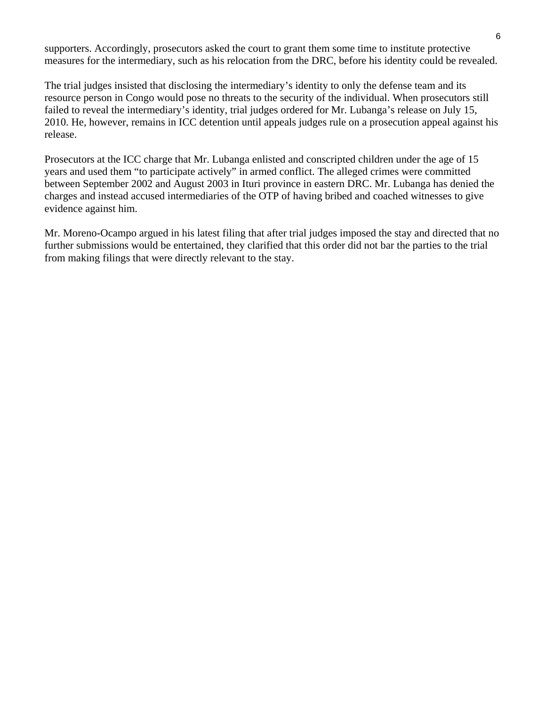supporters. Accordingly, prosecutors asked the court to grant them some time to institute protective measures for the intermediary, such as his relocation from the DRC, before his identity could be revealed.

The trial judges insisted that disclosing the intermediary's identity to only the defense team and its resource person in Congo would pose no threats to the security of the individual. When prosecutors still failed to reveal the intermediary's identity, trial judges ordered for Mr. Lubanga's release on July 15, 2010. He, however, remains in ICC detention until appeals judges rule on a prosecution appeal against his release.

Prosecutors at the ICC charge that Mr. Lubanga enlisted and conscripted children under the age of 15 years and used them "to participate actively" in armed conflict. The alleged crimes were committed between September 2002 and August 2003 in Ituri province in eastern DRC. Mr. Lubanga has denied the charges and instead accused intermediaries of the OTP of having bribed and coached witnesses to give evidence against him.

Mr. Moreno-Ocampo argued in his latest filing that after trial judges imposed the stay and directed that no further submissions would be entertained, they clarified that this order did not bar the parties to the trial from making filings that were directly relevant to the stay.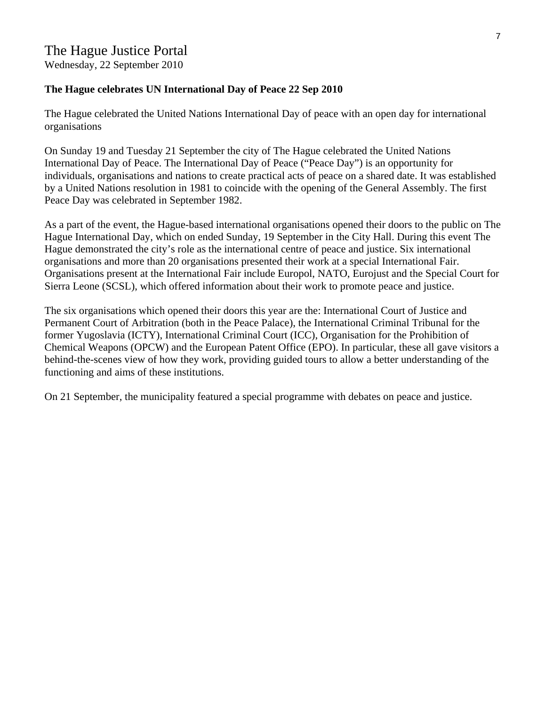Wednesday, 22 September 2010

## **The Hague celebrates UN International Day of Peace 22 Sep 2010**

The Hague celebrated the United Nations International Day of peace with an open day for international organisations

On Sunday 19 and Tuesday 21 September the city of The Hague celebrated the United Nations International Day of Peace. The International Day of Peace ("Peace Day") is an opportunity for individuals, organisations and nations to create practical acts of peace on a shared date. It was established by a United Nations resolution in 1981 to coincide with the opening of the General Assembly. The first Peace Day was celebrated in September 1982.

As a part of the event, the Hague-based international organisations opened their doors to the public on The Hague International Day, which on ended Sunday, 19 September in the City Hall. During this event The Hague demonstrated the city's role as the international centre of peace and justice. Six international organisations and more than 20 organisations presented their work at a special International Fair. Organisations present at the International Fair include Europol, NATO, Eurojust and the Special Court for Sierra Leone (SCSL), which offered information about their work to promote peace and justice.

The six organisations which opened their doors this year are the: International Court of Justice and Permanent Court of Arbitration (both in the Peace Palace), the International Criminal Tribunal for the former Yugoslavia (ICTY), International Criminal Court (ICC), Organisation for the Prohibition of Chemical Weapons (OPCW) and the European Patent Office (EPO). In particular, these all gave visitors a behind-the-scenes view of how they work, providing guided tours to allow a better understanding of the functioning and aims of these institutions.

On 21 September, the municipality featured a special programme with debates on peace and justice.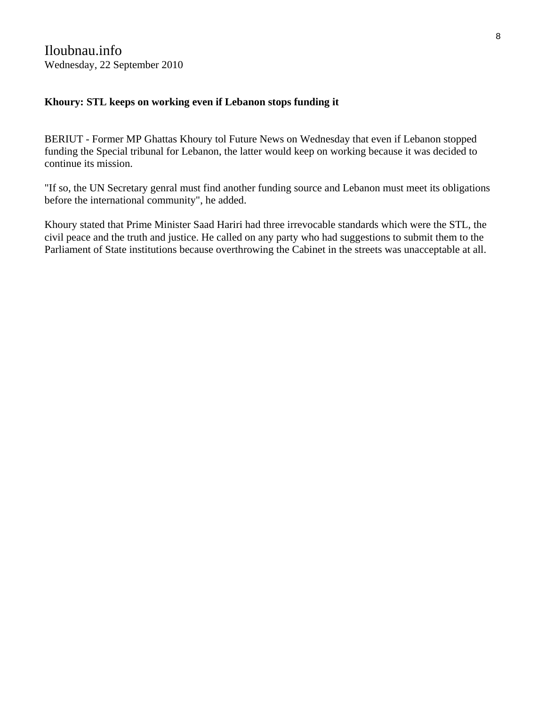## **Khoury: STL keeps on working even if Lebanon stops funding it**

BERIUT - Former MP Ghattas Khoury tol Future News on Wednesday that even if Lebanon stopped funding the Special tribunal for Lebanon, the latter would keep on working because it was decided to continue its mission.

"If so, the UN Secretary genral must find another funding source and Lebanon must meet its obligations before the international community", he added.

Khoury stated that Prime Minister Saad Hariri had three irrevocable standards which were the STL, the civil peace and the truth and justice. He called on any party who had suggestions to submit them to the Parliament of State institutions because overthrowing the Cabinet in the streets was unacceptable at all.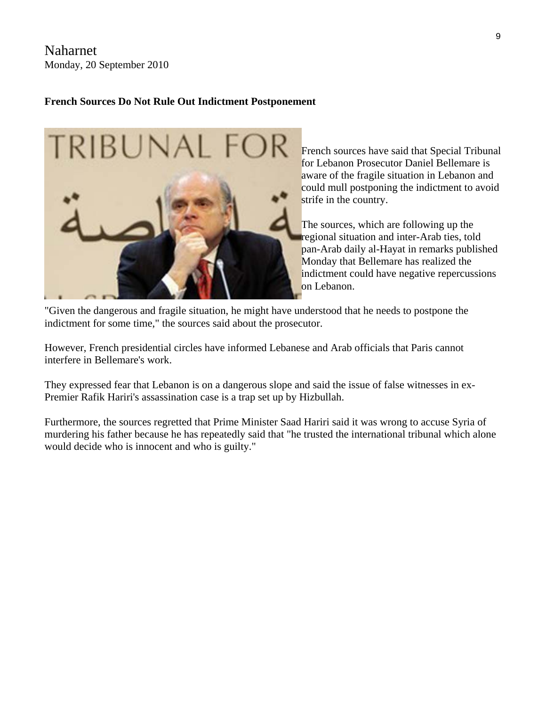Naharnet Monday, 20 September 2010

### **French Sources Do Not Rule Out Indictment Postponement**



French sources have said that Special T ribunal for Lebanon Prosecutor Daniel Bellemare is aware of the fragile situation in Lebanon and could mull postponing the indictment to a void strife in the country.

The sources, which are following up the regional situation and inter-Arab ties, told pan-Arab daily al-Hayat in remarks published Monday that Bellemare has realized the indictment could have negative repercussions on Lebanon.

"Given the dangerous and fragile situation, he might have understood that he needs to postpone the indictment for some time," the sources said about the prosecutor.

However, French presidential circles have informed Lebanese and Arab officials that Paris cannot interfere in Bellemare's work.

They expressed fear that Lebanon is on a dangerous slope and said the issue of false witnesses in ex-Premier Rafik Hariri's assassination case is a trap set up by Hizbullah.

Furthermore, the sources regretted that Prime Minister Saad Hariri said it was wrong to accuse Syria of murdering his father because he has repeatedly said that "he trusted the international tribunal which alone would decide who is innocent and who is guilty."